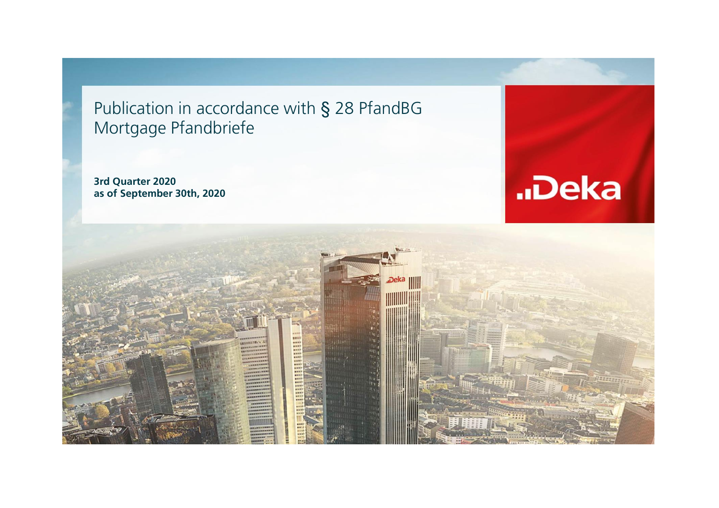Publication in accordance with § 28 PfandBG Mortgage Pfandbriefe

**3rd Quarter 2020 as of September 30th, 2020**



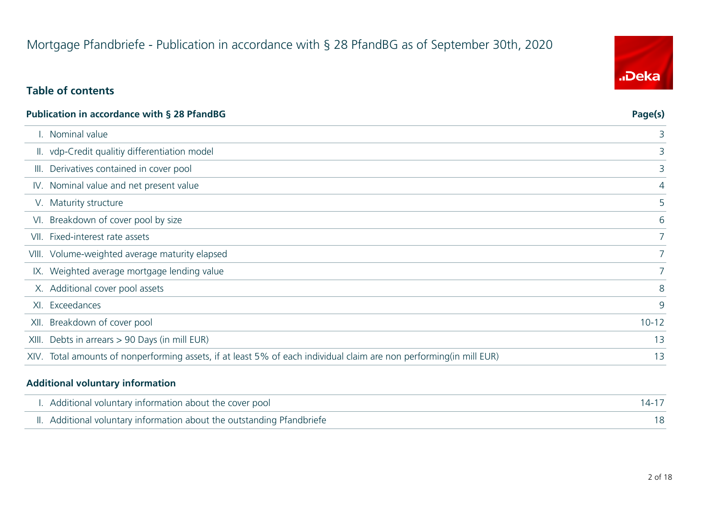# Mortgage Pfandbriefe - Publication in accordance with § 28 PfandBG as of September 30th, 2020

### **Table of contents**

| Publication in accordance with § 28 PfandBG | Page(s)                                                                                                             |                |
|---------------------------------------------|---------------------------------------------------------------------------------------------------------------------|----------------|
|                                             | . Nominal value                                                                                                     | 3              |
|                                             | II. vdp-Credit qualitiy differentiation model                                                                       | 3              |
|                                             | III. Derivatives contained in cover pool                                                                            | 3              |
|                                             | IV. Nominal value and net present value                                                                             | 4              |
|                                             | V. Maturity structure                                                                                               | 5              |
|                                             | VI. Breakdown of cover pool by size                                                                                 | 6              |
|                                             | VII. Fixed-interest rate assets                                                                                     | 7 <sup>1</sup> |
|                                             | VIII. Volume-weighted average maturity elapsed                                                                      | 7 <sup>1</sup> |
|                                             | IX. Weighted average mortgage lending value                                                                         | 7 <sup>1</sup> |
|                                             | X. Additional cover pool assets                                                                                     | 8              |
|                                             | XI. Exceedances                                                                                                     | 9              |
|                                             | XII. Breakdown of cover pool                                                                                        | $10 - 12$      |
|                                             | XIII. Debts in arrears > 90 Days (in mill EUR)                                                                      | 13             |
|                                             | XIV. Total amounts of nonperforming assets, if at least 5% of each individual claim are non performing(in mill EUR) | 13             |

#### **Additional voluntary information**

| I. Additional voluntary information about the cover pool               |  |
|------------------------------------------------------------------------|--|
| II. Additional voluntary information about the outstanding Pfandbriefe |  |

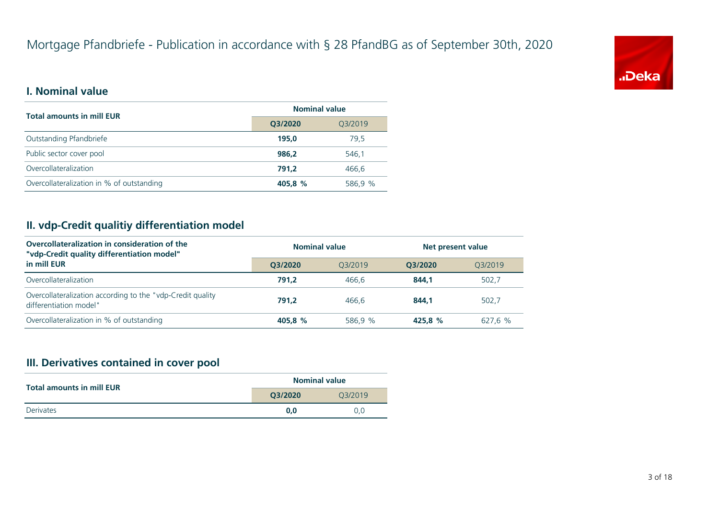

#### **I. Nominal value**

| <b>Total amounts in mill EUR</b>          | <b>Nominal value</b> |         |  |
|-------------------------------------------|----------------------|---------|--|
|                                           | Q3/2020              | Q3/2019 |  |
| Outstanding Pfandbriefe                   | 195,0                | 79.5    |  |
| Public sector cover pool                  | 986.2                | 546.1   |  |
| Overcollateralization                     | 791.2                | 466.6   |  |
| Overcollateralization in % of outstanding | 405.8 %              | 586,9 % |  |

#### **II. vdp-Credit qualitiy differentiation model**

| Overcollateralization in consideration of the<br>"vdp-Credit quality differentiation model" | <b>Nominal value</b> |         | Net present value |         |
|---------------------------------------------------------------------------------------------|----------------------|---------|-------------------|---------|
| in mill EUR                                                                                 | O3/2020              | 03/2019 | O3/2020           | 03/2019 |
| Overcollateralization                                                                       | 791.2                | 466.6   | 844.1             | 502.7   |
| Overcollateralization according to the "vdp-Credit quality<br>differentiation model"        | 791.2                | 466.6   | 844.1             | 502.7   |
| Overcollateralization in % of outstanding                                                   | 405.8 %              | 586.9 % | 425.8 %           | 627.6 % |

#### **III. Derivatives contained in cover pool**

| <b>Total amounts in mill EUR</b> | <b>Nominal value</b> |         |  |
|----------------------------------|----------------------|---------|--|
|                                  | Q3/2020              | 03/2019 |  |
| Derivates                        | 0.0                  | 0.0     |  |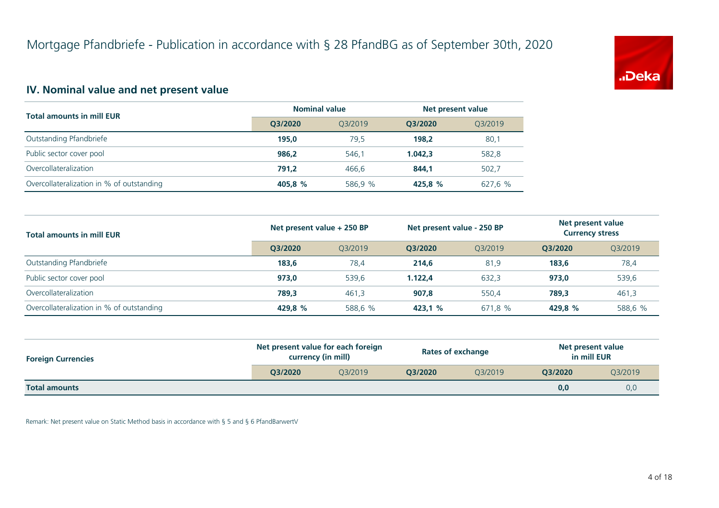

#### **IV. Nominal value and net present value**

| <b>Total amounts in mill EUR</b>          | <b>Nominal value</b> |         | Net present value |         |
|-------------------------------------------|----------------------|---------|-------------------|---------|
|                                           | Q3/2020              | 03/2019 | O3/2020           | Q3/2019 |
| Outstanding Pfandbriefe                   | 195,0                | 79.5    | 198.2             | 80,1    |
| Public sector cover pool                  | 986.2                | 546.1   | 1.042.3           | 582,8   |
| Overcollateralization                     | 791.2                | 466.6   | 844.1             | 502,7   |
| Overcollateralization in % of outstanding | 405.8 %              | 586,9 % | 425.8 %           | 627,6 % |

| <b>Total amounts in mill EUR</b>          | Net present value + 250 BP<br>Net present value - 250 BP |         |         | Net present value<br><b>Currency stress</b> |         |         |
|-------------------------------------------|----------------------------------------------------------|---------|---------|---------------------------------------------|---------|---------|
|                                           | O3/2020                                                  | O3/2019 | O3/2020 | 03/2019                                     | O3/2020 | 03/2019 |
| Outstanding Pfandbriefe                   | 183.6                                                    | 78,4    | 214.6   | 81,9                                        | 183,6   | 78,4    |
| Public sector cover pool                  | 973.0                                                    | 539.6   | 1.122.4 | 632,3                                       | 973,0   | 539,6   |
| Overcollateralization                     | 789.3                                                    | 461,3   | 907,8   | 550,4                                       | 789,3   | 461,3   |
| Overcollateralization in % of outstanding | 429,8 %                                                  | 588,6 % | 423,1 % | 671,8 %                                     | 429,8 % | 588,6 % |

| <b>Foreign Currencies</b> | Net present value for each foreign<br>currency (in mill) |         | <b>Rates of exchange</b> |         | Net present value<br>in mill EUR |         |
|---------------------------|----------------------------------------------------------|---------|--------------------------|---------|----------------------------------|---------|
|                           | O3/2020                                                  | 03/2019 | O3/2020                  | 03/2019 | O3/2020                          | Q3/2019 |
| <b>Total amounts</b>      |                                                          |         |                          |         | 0,0                              | 0,0     |

Remark: Net present value on Static Method basis in accordance with § 5 and § 6 PfandBarwertV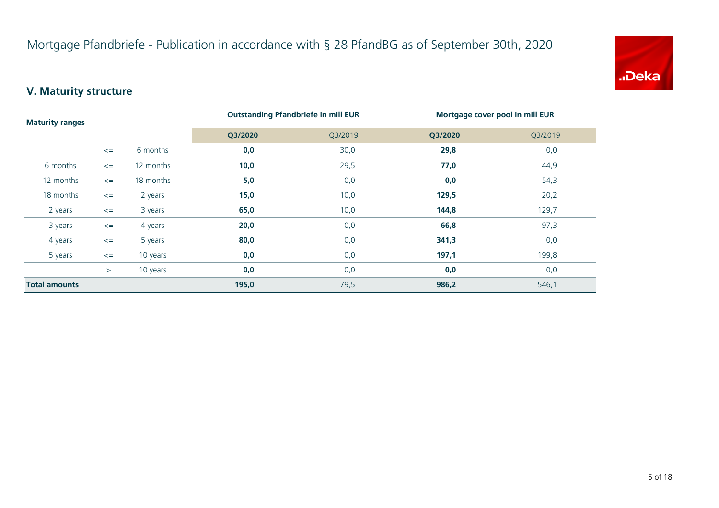

# **V. Maturity structure**

| <b>Maturity ranges</b> |        |           |         | <b>Outstanding Pfandbriefe in mill EUR</b> | Mortgage cover pool in mill EUR |         |
|------------------------|--------|-----------|---------|--------------------------------------------|---------------------------------|---------|
|                        |        |           | Q3/2020 | Q3/2019                                    | Q3/2020                         | Q3/2019 |
|                        | $\leq$ | 6 months  | 0,0     | 30,0                                       | 29,8                            | 0,0     |
| 6 months               | $\leq$ | 12 months | 10,0    | 29,5                                       | 77,0                            | 44,9    |
| 12 months              | $\leq$ | 18 months | 5,0     | 0,0                                        | 0,0                             | 54,3    |
| 18 months              | $\leq$ | 2 years   | 15,0    | 10,0                                       | 129,5                           | 20,2    |
| 2 years                | $\leq$ | 3 years   | 65,0    | 10,0                                       | 144,8                           | 129,7   |
| 3 years                | $\leq$ | 4 years   | 20,0    | 0,0                                        | 66,8                            | 97,3    |
| 4 years                | $\leq$ | 5 years   | 80,0    | 0,0                                        | 341,3                           | 0,0     |
| 5 years                | $\leq$ | 10 years  | 0,0     | 0,0                                        | 197,1                           | 199,8   |
|                        | $\geq$ | 10 years  | 0,0     | 0,0                                        | 0,0                             | 0,0     |
| <b>Total amounts</b>   |        |           | 195,0   | 79,5                                       | 986,2                           | 546,1   |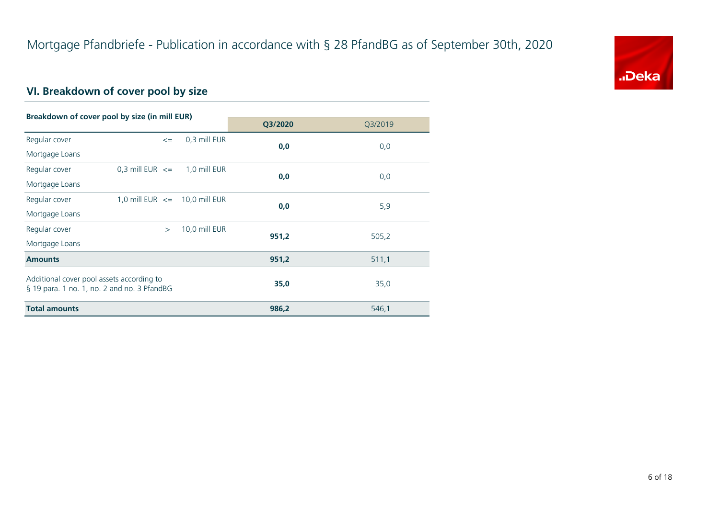

# **VI. Breakdown of cover pool by size**

| Breakdown of cover pool by size (in mill EUR)                                            |                                   |               |         |         |
|------------------------------------------------------------------------------------------|-----------------------------------|---------------|---------|---------|
|                                                                                          |                                   |               | Q3/2020 | Q3/2019 |
| Regular cover                                                                            | $\leq$                            | 0,3 mill EUR  | 0,0     | 0,0     |
| Mortgage Loans                                                                           |                                   |               |         |         |
| Regular cover                                                                            | $0,3$ mill EUR $\leq$             | 1,0 mill EUR  | 0,0     |         |
| Mortgage Loans                                                                           |                                   |               |         | 0,0     |
| Regular cover                                                                            | 1,0 mill EUR $\leq$ 10,0 mill EUR |               | 0,0     | 5,9     |
| Mortgage Loans                                                                           |                                   |               |         |         |
| Regular cover                                                                            | $\geq$                            | 10,0 mill EUR | 951,2   |         |
| Mortgage Loans                                                                           |                                   |               |         | 505,2   |
| <b>Amounts</b>                                                                           |                                   |               | 951,2   | 511,1   |
| Additional cover pool assets according to<br>§ 19 para. 1 no. 1, no. 2 and no. 3 PfandBG |                                   |               | 35,0    | 35,0    |
| <b>Total amounts</b>                                                                     |                                   |               | 986,2   | 546,1   |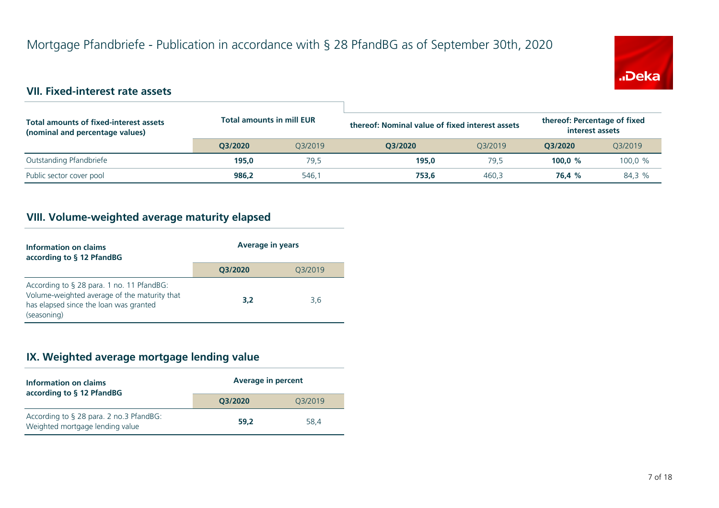

#### **VII. Fixed-interest rate assets**

| Total amounts of fixed-interest assets<br>(nominal and percentage values) | <b>Total amounts in mill EUR</b> |         | thereof: Percentage of fixed<br>thereof: Nominal value of fixed interest assets<br>interest assets |         |           |         |
|---------------------------------------------------------------------------|----------------------------------|---------|----------------------------------------------------------------------------------------------------|---------|-----------|---------|
|                                                                           | O3/2020                          | 03/2019 | O3/2020                                                                                            | 03/2019 | O3/2020   | Q3/2019 |
| Outstanding Pfandbriefe                                                   | 195.0                            | 79,5    | 195.0                                                                                              | 79.5    | 100.0 $%$ | 100,0%  |
| Public sector cover pool                                                  | 986.2                            | 546.1   | 753.6                                                                                              | 460.3   | 76.4 %    | 84.3 %  |

#### **VIII. Volume-weighted average maturity elapsed**

| Information on claims<br>according to § 12 PfandBG                                                                                                 | <b>Average in years</b> |         |  |
|----------------------------------------------------------------------------------------------------------------------------------------------------|-------------------------|---------|--|
|                                                                                                                                                    | O3/2020                 | 03/2019 |  |
| According to § 28 para. 1 no. 11 PfandBG:<br>Volume-weighted average of the maturity that<br>has elapsed since the loan was granted<br>(seasoning) | 3,2                     | 3,6     |  |

#### **IX. Weighted average mortgage lending value**

| <b>Information on claims</b><br>according to § 12 PfandBG                  | <b>Average in percent</b> |         |  |
|----------------------------------------------------------------------------|---------------------------|---------|--|
|                                                                            | O3/2020                   | 03/2019 |  |
| According to § 28 para. 2 no.3 PfandBG:<br>Weighted mortgage lending value | 59.2                      | 58.4    |  |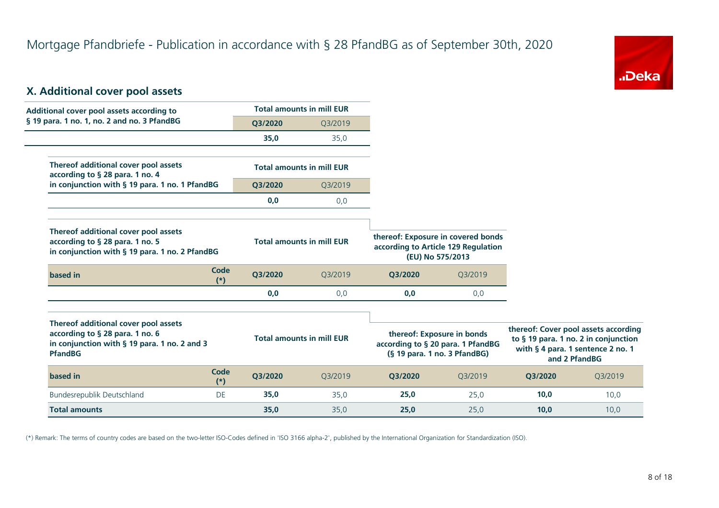

#### **X. Additional cover pool assets**

| Additional cover pool assets according to                                                                                                 |                      |         | <b>Total amounts in mill EUR</b> |         |                                                                                                 |         |                                                                                                                                    |
|-------------------------------------------------------------------------------------------------------------------------------------------|----------------------|---------|----------------------------------|---------|-------------------------------------------------------------------------------------------------|---------|------------------------------------------------------------------------------------------------------------------------------------|
| § 19 para. 1 no. 1, no. 2 and no. 3 PfandBG                                                                                               |                      | Q3/2020 | Q3/2019                          |         |                                                                                                 |         |                                                                                                                                    |
|                                                                                                                                           |                      | 35,0    | 35,0                             |         |                                                                                                 |         |                                                                                                                                    |
| Thereof additional cover pool assets<br>according to § 28 para. 1 no. 4                                                                   |                      |         | <b>Total amounts in mill EUR</b> |         |                                                                                                 |         |                                                                                                                                    |
| in conjunction with § 19 para. 1 no. 1 PfandBG                                                                                            |                      | Q3/2020 | Q3/2019                          |         |                                                                                                 |         |                                                                                                                                    |
|                                                                                                                                           |                      | 0,0     | 0,0                              |         |                                                                                                 |         |                                                                                                                                    |
| Thereof additional cover pool assets<br>according to § 28 para. 1 no. 5<br>in conjunction with § 19 para. 1 no. 2 PfandBG                 |                      |         | <b>Total amounts in mill EUR</b> |         | thereof: Exposure in covered bonds<br>according to Article 129 Regulation<br>(EU) No 575/2013   |         |                                                                                                                                    |
| based in                                                                                                                                  | <b>Code</b><br>$(*)$ | Q3/2020 | Q3/2019                          | Q3/2020 | Q3/2019                                                                                         |         |                                                                                                                                    |
|                                                                                                                                           |                      | 0,0     | 0,0                              | 0,0     | 0,0                                                                                             |         |                                                                                                                                    |
| Thereof additional cover pool assets<br>according to § 28 para. 1 no. 6<br>in conjunction with § 19 para. 1 no. 2 and 3<br><b>PfandBG</b> |                      |         | <b>Total amounts in mill EUR</b> |         | thereof: Exposure in bonds<br>according to § 20 para. 1 PfandBG<br>(§ 19 para. 1 no. 3 PfandBG) |         | thereof: Cover pool assets according<br>to § 19 para. 1 no. 2 in conjunction<br>with § 4 para. 1 sentence 2 no. 1<br>and 2 PfandBG |
| based in                                                                                                                                  | <b>Code</b><br>$(*)$ | Q3/2020 | Q3/2019                          | Q3/2020 | Q3/2019                                                                                         | Q3/2020 | Q3/2019                                                                                                                            |
| Bundesrepublik Deutschland                                                                                                                | DE                   | 35,0    | 35,0                             | 25,0    | 25,0                                                                                            | 10,0    | 10,0                                                                                                                               |
| <b>Total amounts</b>                                                                                                                      |                      | 35,0    | 35.0                             | 25.0    | 25,0                                                                                            | 10.0    | 10.0                                                                                                                               |

(\*) Remark: The terms of country codes are based on the two-letter ISO-Codes defined in 'ISO 3166 alpha-2', published by the International Organization for Standardization (ISO).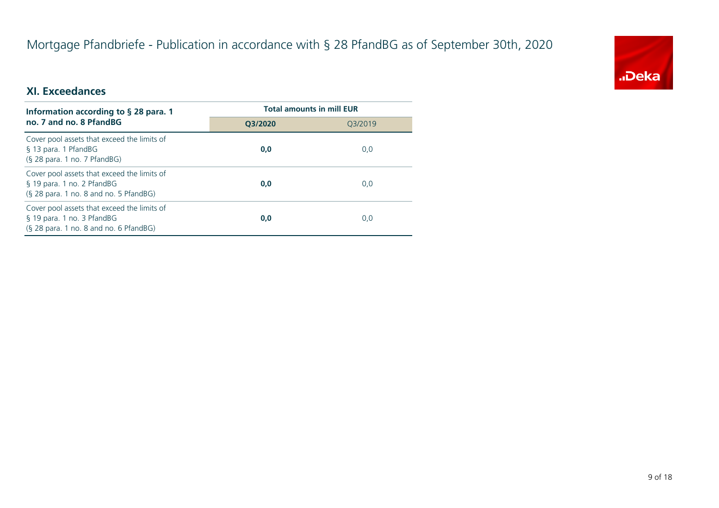# Mortgage Pfandbriefe - Publication in accordance with § 28 PfandBG as of September 30th, 2020



#### **XI. Exceedances**

| Information according to $\S$ 28 para. 1                                                                              | <b>Total amounts in mill EUR</b> |         |  |
|-----------------------------------------------------------------------------------------------------------------------|----------------------------------|---------|--|
| no. 7 and no. 8 PfandBG                                                                                               | O3/2020                          | 03/2019 |  |
| Cover pool assets that exceed the limits of<br>§ 13 para. 1 PfandBG<br>$(S$ 28 para. 1 no. 7 PfandBG)                 | 0,0                              | 0,0     |  |
| Cover pool assets that exceed the limits of<br>§ 19 para. 1 no. 2 PfandBG<br>$(S$ 28 para. 1 no. 8 and no. 5 PfandBG) | 0,0                              | 0,0     |  |
| Cover pool assets that exceed the limits of<br>§ 19 para. 1 no. 3 PfandBG<br>(§ 28 para. 1 no. 8 and no. 6 PfandBG)   | 0,0                              | 0,0     |  |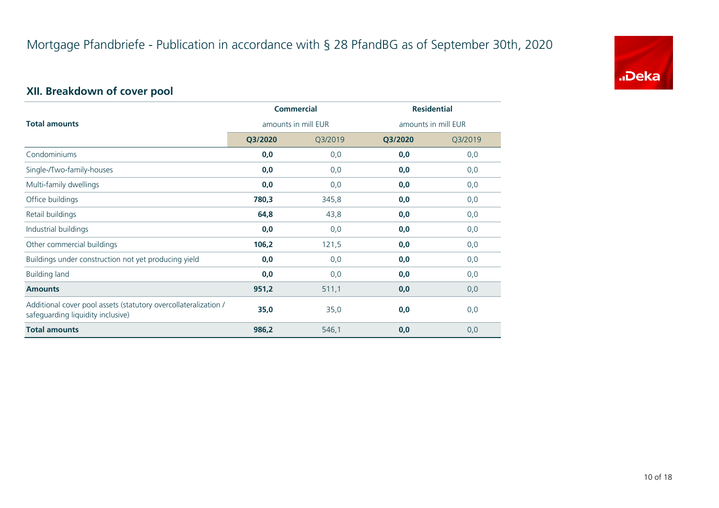

# **XII. Breakdown of cover pool**

|                                                                                                      | <b>Commercial</b><br>amounts in mill EUR |         | <b>Residential</b>  |         |
|------------------------------------------------------------------------------------------------------|------------------------------------------|---------|---------------------|---------|
| <b>Total amounts</b>                                                                                 |                                          |         | amounts in mill EUR |         |
|                                                                                                      | Q3/2020                                  | Q3/2019 | Q3/2020             | Q3/2019 |
| Condominiums                                                                                         | 0,0                                      | 0,0     | 0,0                 | 0,0     |
| Single-/Two-family-houses                                                                            | 0,0                                      | 0,0     | 0,0                 | 0,0     |
| Multi-family dwellings                                                                               | 0,0                                      | 0,0     | 0,0                 | 0,0     |
| Office buildings                                                                                     | 780,3                                    | 345,8   | 0,0                 | 0,0     |
| Retail buildings                                                                                     | 64,8                                     | 43,8    | 0,0                 | 0,0     |
| Industrial buildings                                                                                 | 0,0                                      | 0,0     | 0,0                 | 0,0     |
| Other commercial buildings                                                                           | 106,2                                    | 121,5   | 0,0                 | 0,0     |
| Buildings under construction not yet producing yield                                                 | 0,0                                      | 0,0     | 0,0                 | 0,0     |
| <b>Building land</b>                                                                                 | 0,0                                      | 0,0     | 0,0                 | 0,0     |
| <b>Amounts</b>                                                                                       | 951,2                                    | 511,1   | 0,0                 | 0,0     |
| Additional cover pool assets (statutory overcollateralization /<br>safeguarding liquidity inclusive) | 35,0                                     | 35,0    | 0,0                 | 0,0     |
| <b>Total amounts</b>                                                                                 | 986,2                                    | 546,1   | 0,0                 | 0,0     |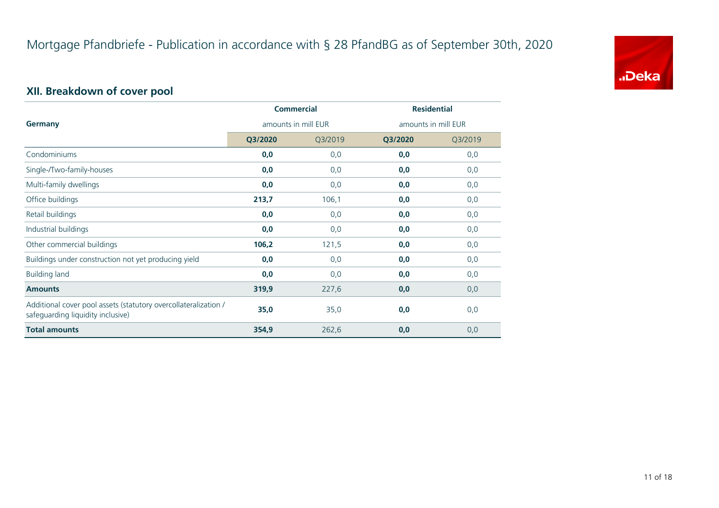

# **XII. Breakdown of cover pool**

|                                                                                                      | <b>Commercial</b><br>amounts in mill EUR |         | <b>Residential</b>  |         |
|------------------------------------------------------------------------------------------------------|------------------------------------------|---------|---------------------|---------|
| Germany                                                                                              |                                          |         | amounts in mill EUR |         |
|                                                                                                      | Q3/2020                                  | Q3/2019 | Q3/2020             | Q3/2019 |
| Condominiums                                                                                         | 0,0                                      | 0,0     | 0,0                 | 0,0     |
| Single-/Two-family-houses                                                                            | 0,0                                      | 0,0     | 0,0                 | 0,0     |
| Multi-family dwellings                                                                               | 0,0                                      | 0,0     | 0,0                 | 0,0     |
| Office buildings                                                                                     | 213,7                                    | 106,1   | 0,0                 | 0,0     |
| Retail buildings                                                                                     | 0,0                                      | 0,0     | 0,0                 | 0,0     |
| Industrial buildings                                                                                 | 0,0                                      | 0,0     | 0,0                 | 0,0     |
| Other commercial buildings                                                                           | 106,2                                    | 121,5   | 0,0                 | 0,0     |
| Buildings under construction not yet producing yield                                                 | 0,0                                      | 0,0     | 0,0                 | 0,0     |
| <b>Building land</b>                                                                                 | 0,0                                      | 0,0     | 0,0                 | 0,0     |
| <b>Amounts</b>                                                                                       | 319,9                                    | 227,6   | 0,0                 | 0,0     |
| Additional cover pool assets (statutory overcollateralization /<br>safeguarding liquidity inclusive) | 35,0                                     | 35,0    | 0,0                 | 0,0     |
| <b>Total amounts</b>                                                                                 | 354,9                                    | 262,6   | 0,0                 | 0,0     |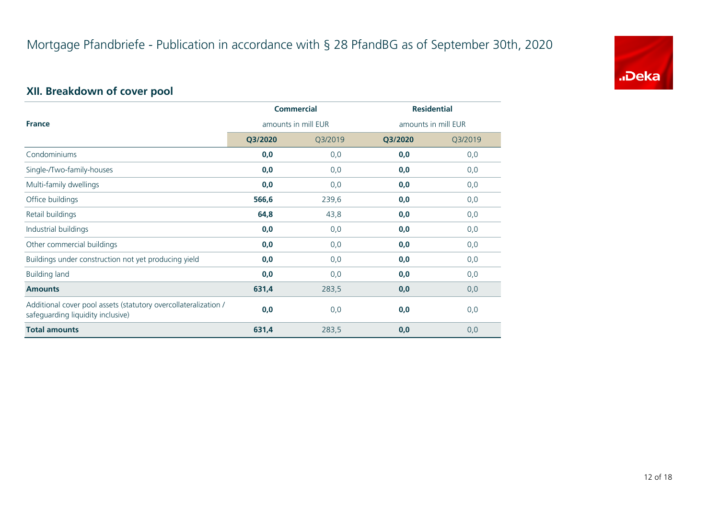

# **XII. Breakdown of cover pool**

|                                                                                                      | <b>Commercial</b>   |         | <b>Residential</b>  |         |
|------------------------------------------------------------------------------------------------------|---------------------|---------|---------------------|---------|
| <b>France</b>                                                                                        | amounts in mill EUR |         | amounts in mill EUR |         |
|                                                                                                      | Q3/2020             | Q3/2019 | Q3/2020             | Q3/2019 |
| Condominiums                                                                                         | 0,0                 | 0,0     | 0,0                 | 0,0     |
| Single-/Two-family-houses                                                                            | 0,0                 | 0,0     | 0,0                 | 0,0     |
| Multi-family dwellings                                                                               | 0,0                 | 0,0     | 0,0                 | 0,0     |
| Office buildings                                                                                     | 566,6               | 239,6   | 0,0                 | 0,0     |
| Retail buildings                                                                                     | 64,8                | 43,8    | 0,0                 | 0,0     |
| Industrial buildings                                                                                 | 0,0                 | 0,0     | 0,0                 | 0,0     |
| Other commercial buildings                                                                           | 0,0                 | 0,0     | 0,0                 | 0,0     |
| Buildings under construction not yet producing yield                                                 | 0,0                 | 0,0     | 0,0                 | 0,0     |
| <b>Building land</b>                                                                                 | 0,0                 | 0,0     | 0,0                 | 0,0     |
| <b>Amounts</b>                                                                                       | 631,4               | 283,5   | 0,0                 | 0,0     |
| Additional cover pool assets (statutory overcollateralization /<br>safeguarding liquidity inclusive) | 0,0                 | 0,0     | 0,0                 | 0,0     |
| <b>Total amounts</b>                                                                                 | 631,4               | 283,5   | 0,0                 | 0,0     |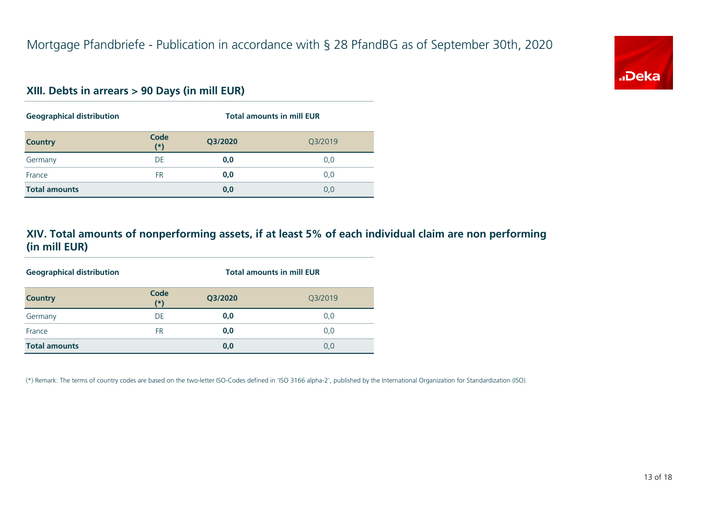

#### **XIII. Debts in arrears > 90 Days (in mill EUR)**

| <b>Geographical distribution</b> |               | <b>Total amounts in mill EUR</b> |         |  |  |
|----------------------------------|---------------|----------------------------------|---------|--|--|
| <b>Country</b>                   | Code<br>$(*)$ | Q3/2020                          | Q3/2019 |  |  |
| Germany                          | DE            | 0,0                              | 0,0     |  |  |
| France                           | <b>FR</b>     | 0,0                              | 0,0     |  |  |
| <b>Total amounts</b>             |               | 0,0                              | 0,0     |  |  |

#### **XIV. Total amounts of nonperforming assets, if at least 5% of each individual claim are non performing (in mill EUR)**

| <b>Geographical distribution</b> |               | <b>Total amounts in mill EUR</b> |         |  |  |
|----------------------------------|---------------|----------------------------------|---------|--|--|
| <b>Country</b>                   | Code<br>$(*)$ | Q3/2020                          | Q3/2019 |  |  |
| Germany                          | DE            | 0,0                              | 0,0     |  |  |
| France                           | <b>FR</b>     | 0,0                              | 0,0     |  |  |
| <b>Total amounts</b>             |               | 0,0                              | 0,0     |  |  |

(\*) Remark: The terms of country codes are based on the two-letter ISO-Codes defined in 'ISO 3166 alpha-2', published by the International Organization for Standardization (ISO).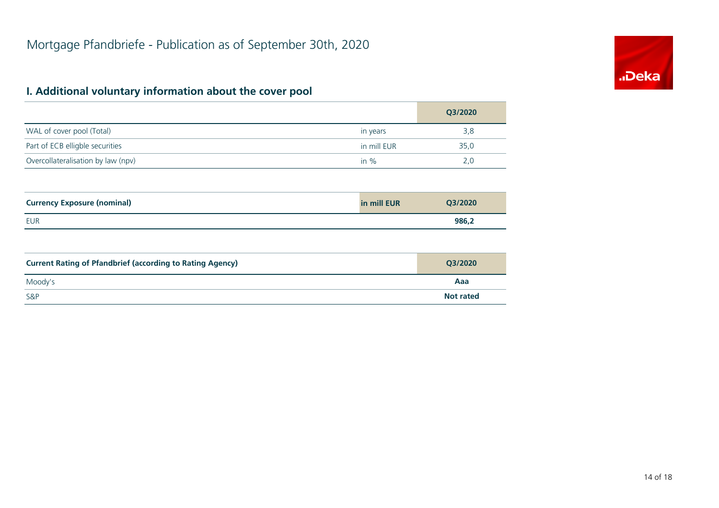# "Deka

# **I. Additional voluntary information about the cover pool**

|                                                                  |             | Q3/2020          |
|------------------------------------------------------------------|-------------|------------------|
| WAL of cover pool (Total)                                        | in years    | 3,8              |
| Part of ECB elligble securities                                  | in mill EUR | 35,0             |
| Overcollateralisation by law (npv)                               | in $%$      | 2,0              |
|                                                                  |             |                  |
| <b>Currency Exposure (nominal)</b>                               | in mill EUR | Q3/2020          |
| <b>EUR</b>                                                       |             | 986,2            |
|                                                                  |             |                  |
| <b>Current Rating of Pfandbrief (according to Rating Agency)</b> |             | Q3/2020          |
| Moody's                                                          |             | Aaa              |
| S&P                                                              |             | <b>Not rated</b> |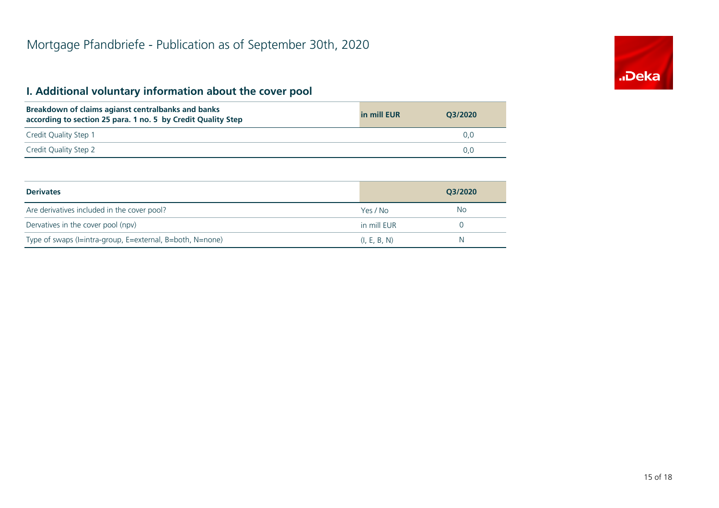# **..**Deka

# **I. Additional voluntary information about the cover pool**

| Breakdown of claims agianst centralbanks and banks<br>according to section 25 para. 1 no. 5 by Credit Quality Step | in mill EUR | O3/2020 |
|--------------------------------------------------------------------------------------------------------------------|-------------|---------|
| Credit Quality Step 1                                                                                              |             |         |
| Credit Quality Step 2                                                                                              |             |         |

| <b>Derivates</b>                                          |              | O3/2020 |
|-----------------------------------------------------------|--------------|---------|
| Are derivatives included in the cover pool?               | Yes / No     | No      |
| Dervatives in the cover pool (npv)                        | in mill EUR  |         |
| Type of swaps (I=intra-group, E=external, B=both, N=none) | (I, E, B, N) | N       |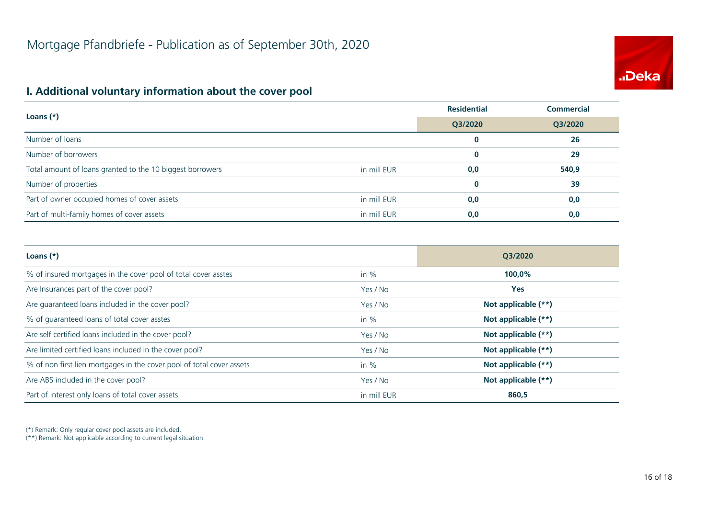

#### **I. Additional voluntary information about the cover pool**

| Loans $(*)$                                               |             | <b>Residential</b> | <b>Commercial</b> |
|-----------------------------------------------------------|-------------|--------------------|-------------------|
|                                                           |             | Q3/2020            | Q3/2020           |
| Number of loans                                           |             | $\bf{0}$           | 26                |
| Number of borrowers                                       |             | $\bf{0}$           | 29                |
| Total amount of loans granted to the 10 biggest borrowers | in mill EUR | 0,0                | 540,9             |
| Number of properties                                      |             | $\bf{0}$           | 39                |
| Part of owner occupied homes of cover assets              | in mill EUR | 0,0                | 0,0               |
| Part of multi-family homes of cover assets                | in mill EUR | 0,0                | 0,0               |

| Loans $(*)$                                                           |             | O3/2020             |  |
|-----------------------------------------------------------------------|-------------|---------------------|--|
| % of insured mortgages in the cover pool of total cover asstes        | in $%$      | 100,0%              |  |
| Are Insurances part of the cover pool?                                | Yes / No    | <b>Yes</b>          |  |
| Are guaranteed loans included in the cover pool?                      | Yes / No    | Not applicable (**) |  |
| % of quaranteed loans of total cover asstes                           | in $%$      | Not applicable (**) |  |
| Are self certified loans included in the cover pool?                  | Yes / No    | Not applicable (**) |  |
| Are limited certified loans included in the cover pool?               | Yes / No    | Not applicable (**) |  |
| % of non first lien mortgages in the cover pool of total cover assets | in $%$      | Not applicable (**) |  |
| Are ABS included in the cover pool?                                   | Yes / No    | Not applicable (**) |  |
| Part of interest only loans of total cover assets                     | in mill EUR | 860,5               |  |

(\*) Remark: Only regular cover pool assets are included.

(\*\*) Remark: Not applicable according to current legal situation.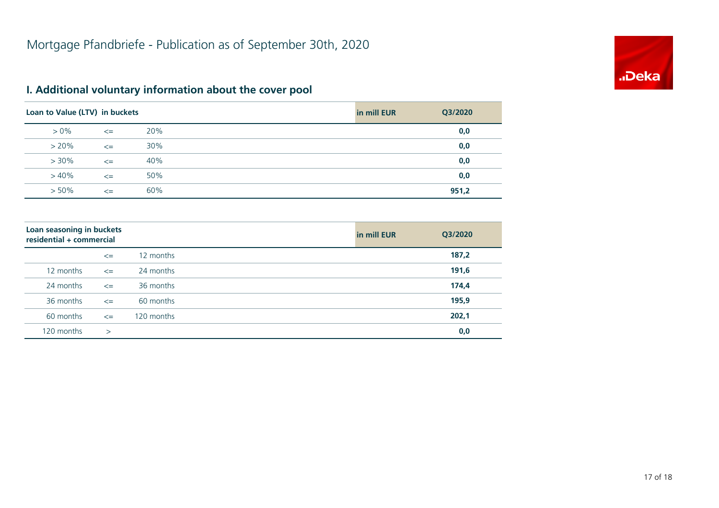

# **I. Additional voluntary information about the cover pool**

| Loan to Value (LTV) in buckets |        |     | in mill EUR | Q3/2020 |
|--------------------------------|--------|-----|-------------|---------|
| $> 0\%$                        | $\leq$ | 20% |             | 0,0     |
| $> 20\%$                       | $\leq$ | 30% |             | 0,0     |
| $> 30\%$                       | $\leq$ | 40% |             | 0,0     |
| $>40\%$                        | $\leq$ | 50% |             | 0,0     |
| $> 50\%$                       | $\leq$ | 60% |             | 951,2   |

| Loan seasoning in buckets<br>residential + commercial |        |            | in mill EUR | Q3/2020 |
|-------------------------------------------------------|--------|------------|-------------|---------|
|                                                       | $\leq$ | 12 months  |             | 187,2   |
| 12 months                                             | $\leq$ | 24 months  |             | 191,6   |
| 24 months                                             | $\leq$ | 36 months  |             | 174,4   |
| 36 months                                             | $\leq$ | 60 months  |             | 195,9   |
| 60 months                                             | $\leq$ | 120 months |             | 202,1   |
| 120 months                                            | $\geq$ |            |             | 0,0     |